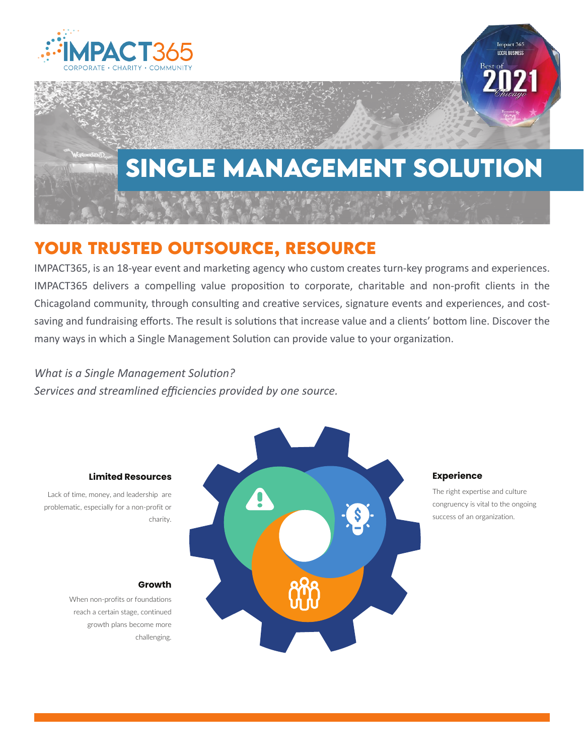

# **single management solution**

### **Your trusted outsource, resource**

IMPACT365, is an 18-year event and marketing agency who custom creates turn-key programs and experiences. IMPACT365 delivers a compelling value proposition to corporate, charitable and non-profit clients in the Chicagoland community, through consulting and creative services, signature events and experiences, and costsaving and fundraising efforts. The result is solutions that increase value and a clients' bottom line. Discover the many ways in which a Single Management Solution can provide value to your organization.

### *What is a Single Management Solution?*

*Services and streamlined efficiencies provided by one source.*



#### Experience

The right expertise and culture congruency is vital to the ongoing success of an organization.

Impact 365 **LOCAL BUSINESS** 

#### Limited Resources

Lack of time, money, and leadership are problematic, especially for a non-profit or charity.

#### Growth

When non-profits or foundations reach a certain stage, continued growth plans become more challenging.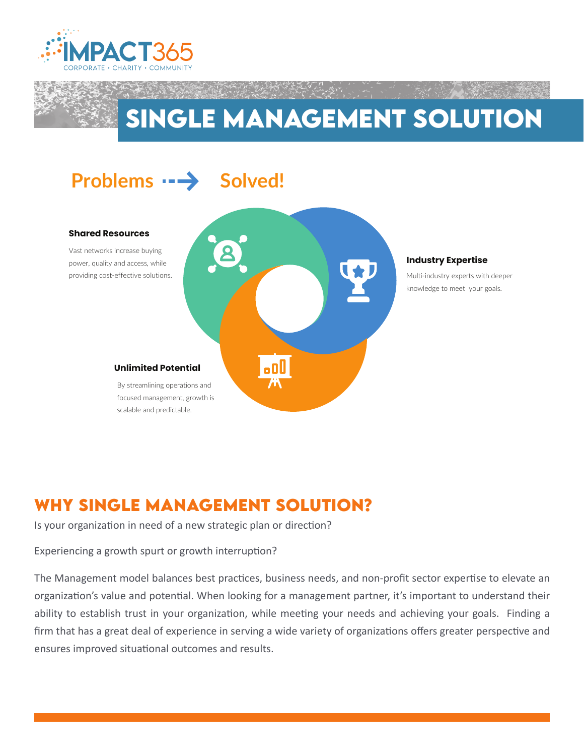

## **single management solution**



### **Why single management solution?**

Is your organization in need of a new strategic plan or direction?

Experiencing a growth spurt or growth interruption?

The Management model balances best practices, business needs, and non-profit sector expertise to elevate an organization's value and potential. When looking for a management partner, it's important to understand their ability to establish trust in your organization, while meeting your needs and achieving your goals. Finding a firm that has a great deal of experience in serving a wide variety of organizations offers greater perspective and ensures improved situational outcomes and results.